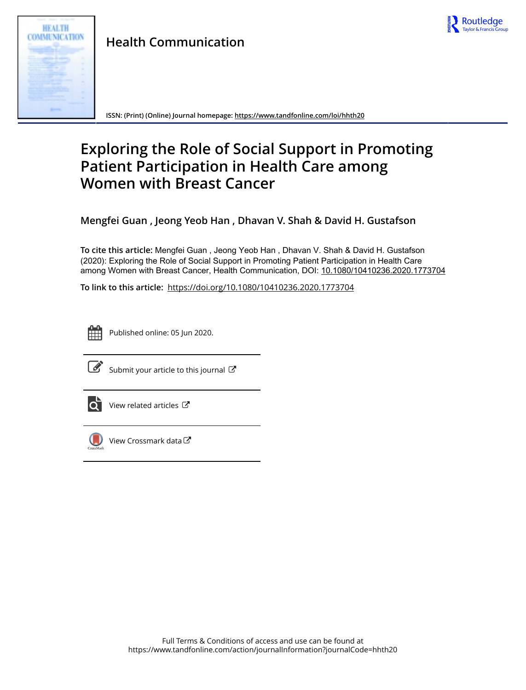



**ISSN: (Print) (Online) Journal homepage:<https://www.tandfonline.com/loi/hhth20>**

## **Exploring the Role of Social Support in Promoting Patient Participation in Health Care among Women with Breast Cancer**

**Mengfei Guan , Jeong Yeob Han , Dhavan V. Shah & David H. Gustafson**

**To cite this article:** Mengfei Guan , Jeong Yeob Han , Dhavan V. Shah & David H. Gustafson (2020): Exploring the Role of Social Support in Promoting Patient Participation in Health Care among Women with Breast Cancer, Health Communication, DOI: [10.1080/10410236.2020.1773704](https://www.tandfonline.com/action/showCitFormats?doi=10.1080/10410236.2020.1773704)

**To link to this article:** <https://doi.org/10.1080/10410236.2020.1773704>



Published online: 05 Jun 2020.



 $\overrightarrow{S}$  [Submit your article to this journal](https://www.tandfonline.com/action/authorSubmission?journalCode=hhth20&show=instructions)  $\overrightarrow{S}$ 



 $\overrightarrow{O}$  [View related articles](https://www.tandfonline.com/doi/mlt/10.1080/10410236.2020.1773704)  $\overrightarrow{C}$ 



[View Crossmark data](http://crossmark.crossref.org/dialog/?doi=10.1080/10410236.2020.1773704&domain=pdf&date_stamp=2020-06-05) $G$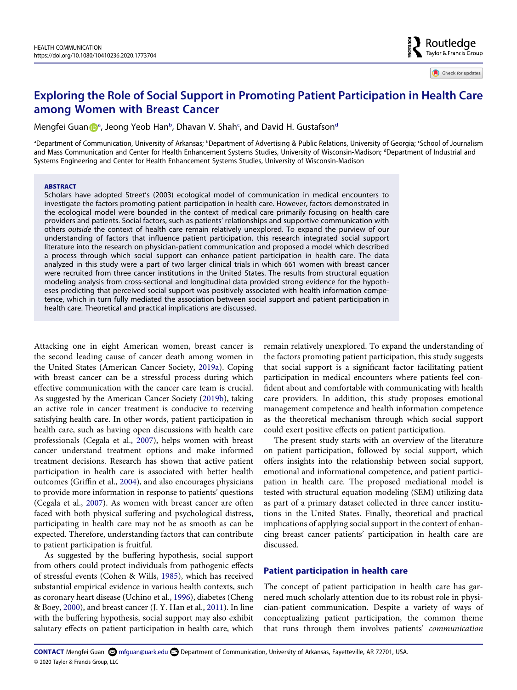# Check for updates

Routledge Taylor & Francis Group

### **Exploring the Role of Social Support in Promoting Patient Participation in Health Care among Women with Breast Cancer**

Mengfei Gu[a](#page-1-0)n D<sup>a</sup>, Jeong Yeo[b](#page-1-0) Han<sup>b</sup>, Dhavan V. Shah<sup>c</sup>, an[d](#page-1-1) David H. Gustafson<sup>d</sup>

<span id="page-1-1"></span><span id="page-1-0"></span><sup>a</sup>Department of Communication, University of Arkansas; <sup>b</sup>Department of Advertising & Public Relations, University of Georgia; 'School of Journalism and Mass Communication and Center for Health Enhancement Systems Studies, University of Wisconsin-Madison; <sup>a</sup>Department of Industrial and Systems Engineering and Center for Health Enhancement Systems Studies, University of Wisconsin-Madison

#### **ABSTRACT**

Scholars have adopted Street's (2003) ecological model of communication in medical encounters to investigate the factors promoting patient participation in health care. However, factors demonstrated in the ecological model were bounded in the context of medical care primarily focusing on health care providers and patients. Social factors, such as patients' relationships and supportive communication with others *outside* the context of health care remain relatively unexplored. To expand the purview of our understanding of factors that influence patient participation, this research integrated social support literature into the research on physician-patient communication and proposed a model which described a process through which social support can enhance patient participation in health care. The data analyzed in this study were a part of two larger clinical trials in which 661 women with breast cancer were recruited from three cancer institutions in the United States. The results from structural equation modeling analysis from cross-sectional and longitudinal data provided strong evidence for the hypotheses predicting that perceived social support was positively associated with health information competence, which in turn fully mediated the association between social support and patient participation in health care. Theoretical and practical implications are discussed.

<span id="page-1-3"></span><span id="page-1-2"></span>Attacking one in eight American women, breast cancer is the second leading cause of cancer death among women in the United States (American Cancer Society, [2019a\)](#page-8-0). Coping with breast cancer can be a stressful process during which effective communication with the cancer care team is crucial. As suggested by the American Cancer Society ([2019b](#page-8-1)), taking an active role in cancer treatment is conducive to receiving satisfying health care. In other words, patient participation in health care, such as having open discussions with health care professionals (Cegala et al., [2007](#page-8-2)), helps women with breast cancer understand treatment options and make informed treatment decisions. Research has shown that active patient participation in health care is associated with better health outcomes (Griffin et al., [2004\)](#page-8-3), and also encourages physicians to provide more information in response to patients' questions (Cegala et al., [2007](#page-8-2)). As women with breast cancer are often faced with both physical suffering and psychological distress, participating in health care may not be as smooth as can be expected. Therefore, understanding factors that can contribute to patient participation is fruitful.

<span id="page-1-8"></span><span id="page-1-7"></span><span id="page-1-6"></span><span id="page-1-5"></span><span id="page-1-4"></span>As suggested by the buffering hypothesis, social support from others could protect individuals from pathogenic effects of stressful events (Cohen & Wills, [1985](#page-8-4)), which has received substantial empirical evidence in various health contexts, such as coronary heart disease (Uchino et al., [1996\)](#page-9-0), diabetes (Cheng & Boey, [2000\)](#page-8-5), and breast cancer (J. Y. Han et al., [2011\)](#page-8-6). In line with the buffering hypothesis, social support may also exhibit salutary effects on patient participation in health care, which

remain relatively unexplored. To expand the understanding of the factors promoting patient participation, this study suggests that social support is a significant factor facilitating patient participation in medical encounters where patients feel confident about and comfortable with communicating with health care providers. In addition, this study proposes emotional management competence and health information competence as the theoretical mechanism through which social support could exert positive effects on patient participation.

The present study starts with an overview of the literature on patient participation, followed by social support, which offers insights into the relationship between social support, emotional and informational competence, and patient participation in health care. The proposed mediational model is tested with structural equation modeling (SEM) utilizing data as part of a primary dataset collected in three cancer institutions in the United States. Finally, theoretical and practical implications of applying social support in the context of enhancing breast cancer patients' participation in health care are discussed.

#### **Patient participation in health care**

The concept of patient participation in health care has garnered much scholarly attention due to its robust role in physician-patient communication. Despite a variety of ways of conceptualizing patient participation, the common theme that runs through them involves patients' *communication*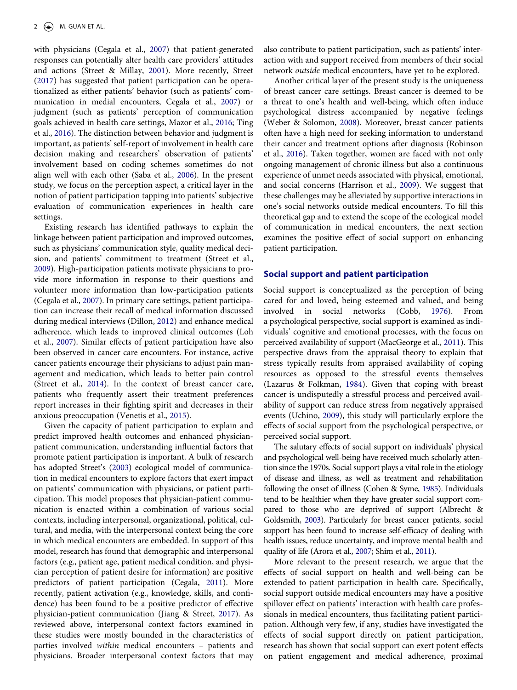<span id="page-2-19"></span><span id="page-2-17"></span><span id="page-2-15"></span><span id="page-2-11"></span>with physicians (Cegala et al., [2007](#page-8-2)) that patient-generated responses can potentially alter health care providers' attitudes and actions (Street & Millay, [2001\)](#page-9-1). More recently, Street [\(2017\)](#page-9-2) has suggested that patient participation can be operationalized as either patients' behavior (such as patients' communication in medial encounters, Cegala et al., [2007\)](#page-8-2) or judgment (such as patients' perception of communication goals achieved in health care settings, Mazor et al., [2016;](#page-9-3) Ting et al., [2016\)](#page-9-4). The distinction between behavior and judgment is important, as patients' self-report of involvement in health care decision making and researchers' observation of patients' involvement based on coding schemes sometimes do not align well with each other (Saba et al., [2006\)](#page-9-5). In the present study, we focus on the perception aspect, a critical layer in the notion of patient participation tapping into patients' subjective evaluation of communication experiences in health care settings.

<span id="page-2-16"></span><span id="page-2-13"></span><span id="page-2-5"></span>Existing research has identified pathways to explain the linkage between patient participation and improved outcomes, such as physicians' communication style, quality medical decision, and patients' commitment to treatment (Street et al., [2009](#page-9-6)). High-participation patients motivate physicians to provide more information in response to their questions and volunteer more information than low-participation patients (Cegala et al., [2007\)](#page-8-2). In primary care settings, patient participation can increase their recall of medical information discussed during medical interviews (Dillon, [2012\)](#page-8-7) and enhance medical adherence, which leads to improved clinical outcomes (Loh et al., [2007](#page-9-7)). Similar effects of patient participation have also been observed in cancer care encounters. For instance, active cancer patients encourage their physicians to adjust pain management and medication, which leads to better pain control (Street et al., [2014](#page-9-8)). In the context of breast cancer care, patients who frequently assert their treatment preferences report increases in their fighting spirit and decreases in their anxious preoccupation (Venetis et al., [2015](#page-9-9)).

<span id="page-2-21"></span><span id="page-2-18"></span><span id="page-2-14"></span><span id="page-2-9"></span><span id="page-2-7"></span><span id="page-2-2"></span>Given the capacity of patient participation to explain and predict improved health outcomes and enhanced physicianpatient communication, understanding influential factors that promote patient participation is important. A bulk of research has adopted Street's ([2003\)](#page-9-10) ecological model of communication in medical encounters to explore factors that exert impact on patients' communication with physicians, or patient participation. This model proposes that physician-patient communication is enacted within a combination of various social contexts, including interpersonal, organizational, political, cultural, and media, with the interpersonal context being the core in which medical encounters are embedded. In support of this model, research has found that demographic and interpersonal factors (e.g., patient age, patient medical condition, and physician perception of patient desire for information) are positive predictors of patient participation (Cegala, [2011](#page-8-8)). More recently, patient activation (e.g., knowledge, skills, and confidence) has been found to be a positive predictor of effective physician-patient communication (Jiang & Street, [2017](#page-9-11)). As reviewed above, interpersonal context factors examined in these studies were mostly bounded in the characteristics of parties involved *within* medical encounters – patients and physicians. Broader interpersonal context factors that may also contribute to patient participation, such as patients' interaction with and support received from members of their social network *outside* medical encounters, have yet to be explored.

<span id="page-2-22"></span><span id="page-2-12"></span>Another critical layer of the present study is the uniqueness of breast cancer care settings. Breast cancer is deemed to be a threat to one's health and well-being, which often induce psychological distress accompanied by negative feelings (Weber & Solomon, [2008\)](#page-9-12). Moreover, breast cancer patients often have a high need for seeking information to understand their cancer and treatment options after diagnosis (Robinson et al., [2016\)](#page-9-13). Taken together, women are faced with not only ongoing management of chronic illness but also a continuous experience of unmet needs associated with physical, emotional, and social concerns (Harrison et al., [2009](#page-8-9)). We suggest that these challenges may be alleviated by supportive interactions in one's social networks outside medical encounters. To fill this theoretical gap and to extend the scope of the ecological model of communication in medical encounters, the next section examines the positive effect of social support on enhancing patient participation.

#### <span id="page-2-6"></span>**Social support and patient participation**

<span id="page-2-10"></span><span id="page-2-3"></span>Social support is conceptualized as the perception of being cared for and loved, being esteemed and valued, and being involved in social networks (Cobb, [1976\)](#page-8-10). From a psychological perspective, social support is examined as individuals' cognitive and emotional processes, with the focus on perceived availability of support (MacGeorge et al., [2011](#page-9-14)). This perspective draws from the appraisal theory to explain that stress typically results from appraised availability of coping resources as opposed to the stressful events themselves (Lazarus & Folkman, [1984](#page-9-15)). Given that coping with breast cancer is undisputedly a stressful process and perceived availability of support can reduce stress from negatively appraised events (Uchino, [2009\)](#page-9-16), this study will particularly explore the effects of social support from the psychological perspective, or perceived social support.

<span id="page-2-20"></span><span id="page-2-8"></span><span id="page-2-4"></span>The salutary effects of social support on individuals' physical and psychological well-being have received much scholarly attention since the 1970s. Social support plays a vital role in the etiology of disease and illness, as well as treatment and rehabilitation following the onset of illness (Cohen & Syme, [1985](#page-8-11)). Individuals tend to be healthier when they have greater social support compared to those who are deprived of support (Albrecht & Goldsmith, [2003\)](#page-8-12). Particularly for breast cancer patients, social support has been found to increase self-efficacy of dealing with health issues, reduce uncertainty, and improve mental health and quality of life (Arora et al., [2007;](#page-8-13) Shim et al., [2011\)](#page-9-17).

<span id="page-2-1"></span><span id="page-2-0"></span>More relevant to the present research, we argue that the effects of social support on health and well-being can be extended to patient participation in health care. Specifically, social support outside medical encounters may have a positive spillover effect on patients' interaction with health care professionals in medical encounters, thus facilitating patient participation. Although very few, if any, studies have investigated the effects of social support directly on patient participation, research has shown that social support can exert potent effects on patient engagement and medical adherence, proximal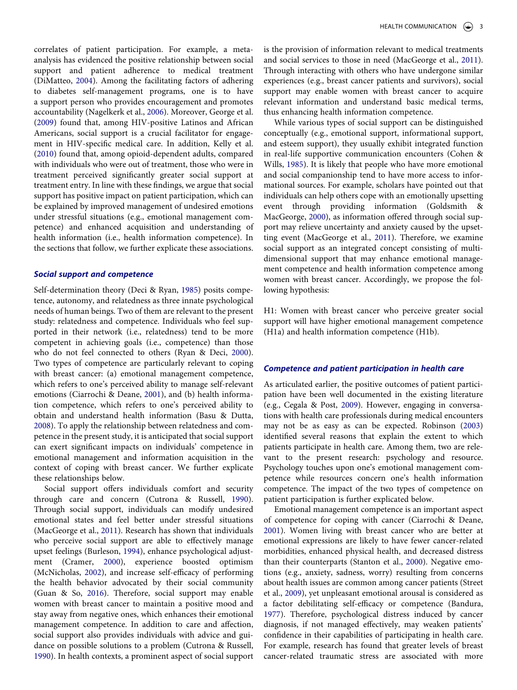<span id="page-3-14"></span><span id="page-3-12"></span><span id="page-3-9"></span><span id="page-3-8"></span>correlates of patient participation. For example, a metaanalysis has evidenced the positive relationship between social support and patient adherence to medical treatment (DiMatteo, [2004](#page-8-14)). Among the facilitating factors of adhering to diabetes self-management programs, one is to have a support person who provides encouragement and promotes accountability (Nagelkerk et al., [2006](#page-9-18)). Moreover, George et al. [\(2009\)](#page-8-15) found that, among HIV-positive Latinos and African Americans, social support is a crucial facilitator for engagement in HIV-specific medical care. In addition, Kelly et al. [\(2010\)](#page-9-19) found that, among opioid-dependent adults, compared with individuals who were out of treatment, those who were in treatment perceived significantly greater social support at treatment entry. In line with these findings, we argue that social support has positive impact on patient participation, which can be explained by improved management of undesired emotions under stressful situations (e.g., emotional management competence) and enhanced acquisition and understanding of health information (i.e., health information competence). In the sections that follow, we further explicate these associations.

#### *Social support and competence*

<span id="page-3-16"></span><span id="page-3-7"></span>Self-determination theory (Deci & Ryan, [1985](#page-8-16)) posits competence, autonomy, and relatedness as three innate psychological needs of human beings. Two of them are relevant to the present study: relatedness and competence. Individuals who feel supported in their network (i.e., relatedness) tend to be more competent in achieving goals (i.e., competence) than those who do not feel connected to others (Ryan & Deci, [2000](#page-9-20)). Two types of competence are particularly relevant to coping with breast cancer: (a) emotional management competence, which refers to one's perceived ability to manage self-relevant emotions (Ciarrochi & Deane, [2001\)](#page-8-17), and (b) health information competence, which refers to one's perceived ability to obtain and understand health information (Basu & Dutta, [2008](#page-8-18)). To apply the relationship between relatedness and competence in the present study, it is anticipated that social support can exert significant impacts on individuals' competence in emotional management and information acquisition in the context of coping with breast cancer. We further explicate these relationships below.

<span id="page-3-13"></span><span id="page-3-11"></span><span id="page-3-6"></span><span id="page-3-5"></span><span id="page-3-2"></span><span id="page-3-1"></span>Social support offers individuals comfort and security through care and concern (Cutrona & Russell, [1990](#page-8-19)). Through social support, individuals can modify undesired emotional states and feel better under stressful situations (MacGeorge et al., [2011](#page-9-14)). Research has shown that individuals who perceive social support are able to effectively manage upset feelings (Burleson, [1994\)](#page-8-20), enhance psychological adjustment (Cramer, [2000](#page-8-21)), experience boosted optimism (McNicholas, [2002\)](#page-9-21), and increase self-efficacy of performing the health behavior advocated by their social community (Guan & So, [2016](#page-8-22)). Therefore, social support may enable women with breast cancer to maintain a positive mood and stay away from negative ones, which enhances their emotional management competence. In addition to care and affection, social support also provides individuals with advice and guidance on possible solutions to a problem (Cutrona & Russell, [1990](#page-8-19)). In health contexts, a prominent aspect of social support

is the provision of information relevant to medical treatments and social services to those in need (MacGeorge et al., [2011](#page-9-14)). Through interacting with others who have undergone similar experiences (e.g., breast cancer patients and survivors), social support may enable women with breast cancer to acquire relevant information and understand basic medical terms, thus enhancing health information competence.

<span id="page-3-10"></span>While various types of social support can be distinguished conceptually (e.g., emotional support, informational support, and esteem support), they usually exhibit integrated function in real-life supportive communication encounters (Cohen & Wills, [1985](#page-8-4)). It is likely that people who have more emotional and social companionship tend to have more access to informational sources. For example, scholars have pointed out that individuals can help others cope with an emotionally upsetting event through providing information (Goldsmith & MacGeorge, [2000](#page-8-23)), as information offered through social support may relieve uncertainty and anxiety caused by the upsetting event (MacGeorge et al., [2011\)](#page-9-14). Therefore, we examine social support as an integrated concept consisting of multidimensional support that may enhance emotional management competence and health information competence among women with breast cancer. Accordingly, we propose the following hypothesis:

H1: Women with breast cancer who perceive greater social support will have higher emotional management competence (H1a) and health information competence (H1b).

#### *Competence and patient participation in health care*

<span id="page-3-15"></span><span id="page-3-3"></span>As articulated earlier, the positive outcomes of patient participation have been well documented in the existing literature (e.g., Cegala & Post, [2009](#page-8-24)). However, engaging in conversations with health care professionals during medical encounters may not be as easy as can be expected. Robinson [\(2003\)](#page-9-22) identified several reasons that explain the extent to which patients participate in health care. Among them, two are relevant to the present research: psychology and resource. Psychology touches upon one's emotional management competence while resources concern one's health information competence. The impact of the two types of competence on patient participation is further explicated below.

<span id="page-3-17"></span><span id="page-3-4"></span><span id="page-3-0"></span>Emotional management competence is an important aspect of competence for coping with cancer (Ciarrochi & Deane, [2001](#page-8-17)). Women living with breast cancer who are better at emotional expressions are likely to have fewer cancer-related morbidities, enhanced physical health, and decreased distress than their counterparts (Stanton et al., [2000\)](#page-9-23). Negative emotions (e.g., anxiety, sadness, worry) resulting from concerns about health issues are common among cancer patients (Street et al., [2009](#page-9-6)), yet unpleasant emotional arousal is considered as a factor debilitating self-efficacy or competence (Bandura, [1977](#page-8-25)). Therefore, psychological distress induced by cancer diagnosis, if not managed effectively, may weaken patients' confidence in their capabilities of participating in health care. For example, research has found that greater levels of breast cancer-related traumatic stress are associated with more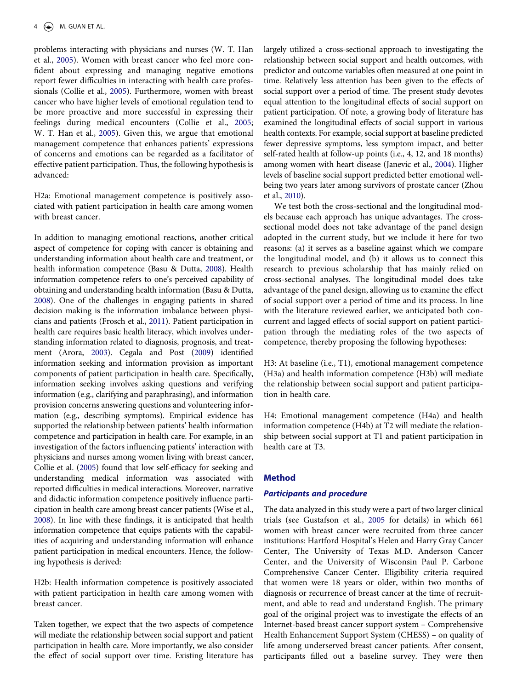problems interacting with physicians and nurses (W. T. Han et al., [2005](#page-8-26)). Women with breast cancer who feel more confident about expressing and managing negative emotions report fewer difficulties in interacting with health care professionals (Collie et al., [2005](#page-8-27)). Furthermore, women with breast cancer who have higher levels of emotional regulation tend to be more proactive and more successful in expressing their feelings during medical encounters (Collie et al., [2005;](#page-8-27) W. T. Han et al., [2005\)](#page-8-26). Given this, we argue that emotional management competence that enhances patients' expressions of concerns and emotions can be regarded as a facilitator of effective patient participation. Thus, the following hypothesis is advanced:

<span id="page-4-4"></span>H2a: Emotional management competence is positively associated with patient participation in health care among women with breast cancer.

<span id="page-4-2"></span><span id="page-4-0"></span>In addition to managing emotional reactions, another critical aspect of competence for coping with cancer is obtaining and understanding information about health care and treatment, or health information competence (Basu & Dutta, [2008\)](#page-8-18). Health information competence refers to one's perceived capability of obtaining and understanding health information (Basu & Dutta, [2008\)](#page-8-18). One of the challenges in engaging patients in shared decision making is the information imbalance between physicians and patients (Frosch et al., [2011\)](#page-8-28). Patient participation in health care requires basic health literacy, which involves understanding information related to diagnosis, prognosis, and treatment (Arora, [2003\)](#page-8-29). Cegala and Post [\(2009](#page-8-24)) identified information seeking and information provision as important components of patient participation in health care. Specifically, information seeking involves asking questions and verifying information (e.g., clarifying and paraphrasing), and information provision concerns answering questions and volunteering information (e.g., describing symptoms). Empirical evidence has supported the relationship between patients' health information competence and participation in health care. For example, in an investigation of the factors influencing patients' interaction with physicians and nurses among women living with breast cancer, Collie et al. [\(2005](#page-8-27)) found that low self-efficacy for seeking and understanding medical information was associated with reported difficulties in medical interactions. Moreover, narrative and didactic information competence positively influence participation in health care among breast cancer patients (Wise et al., [2008\)](#page-9-24). In line with these findings, it is anticipated that health information competence that equips patients with the capabilities of acquiring and understanding information will enhance patient participation in medical encounters. Hence, the following hypothesis is derived:

<span id="page-4-6"></span><span id="page-4-1"></span>H2b: Health information competence is positively associated with patient participation in health care among women with breast cancer.

Taken together, we expect that the two aspects of competence will mediate the relationship between social support and patient participation in health care. More importantly, we also consider the effect of social support over time. Existing literature has largely utilized a cross-sectional approach to investigating the relationship between social support and health outcomes, with predictor and outcome variables often measured at one point in time. Relatively less attention has been given to the effects of social support over a period of time. The present study devotes equal attention to the longitudinal effects of social support on patient participation. Of note, a growing body of literature has examined the longitudinal effects of social support in various health contexts. For example, social support at baseline predicted fewer depressive symptoms, less symptom impact, and better self-rated health at follow-up points (i.e., 4, 12, and 18 months) among women with heart disease (Janevic et al., [2004\)](#page-9-25). Higher levels of baseline social support predicted better emotional wellbeing two years later among survivors of prostate cancer (Zhou et al., [2010](#page-9-26)).

<span id="page-4-7"></span><span id="page-4-5"></span>We test both the cross-sectional and the longitudinal models because each approach has unique advantages. The crosssectional model does not take advantage of the panel design adopted in the current study, but we include it here for two reasons: (a) it serves as a baseline against which we compare the longitudinal model, and (b) it allows us to connect this research to previous scholarship that has mainly relied on cross-sectional analyses. The longitudinal model does take advantage of the panel design, allowing us to examine the effect of social support over a period of time and its process. In line with the literature reviewed earlier, we anticipated both concurrent and lagged effects of social support on patient participation through the mediating roles of the two aspects of competence, thereby proposing the following hypotheses:

H3: At baseline (i.e., T1), emotional management competence (H3a) and health information competence (H3b) will mediate the relationship between social support and patient participation in health care.

H4: Emotional management competence (H4a) and health information competence (H4b) at T2 will mediate the relationship between social support at T1 and patient participation in health care at T3.

#### **Method**

#### *Participants and procedure*

<span id="page-4-3"></span>The data analyzed in this study were a part of two larger clinical trials (see Gustafson et al., [2005](#page-8-30) for details) in which 661 women with breast cancer were recruited from three cancer institutions: Hartford Hospital's Helen and Harry Gray Cancer Center, The University of Texas M.D. Anderson Cancer Center, and the University of Wisconsin Paul P. Carbone Comprehensive Cancer Center. Eligibility criteria required that women were 18 years or older, within two months of diagnosis or recurrence of breast cancer at the time of recruitment, and able to read and understand English. The primary goal of the original project was to investigate the effects of an Internet-based breast cancer support system – Comprehensive Health Enhancement Support System (CHESS) – on quality of life among underserved breast cancer patients. After consent, participants filled out a baseline survey. They were then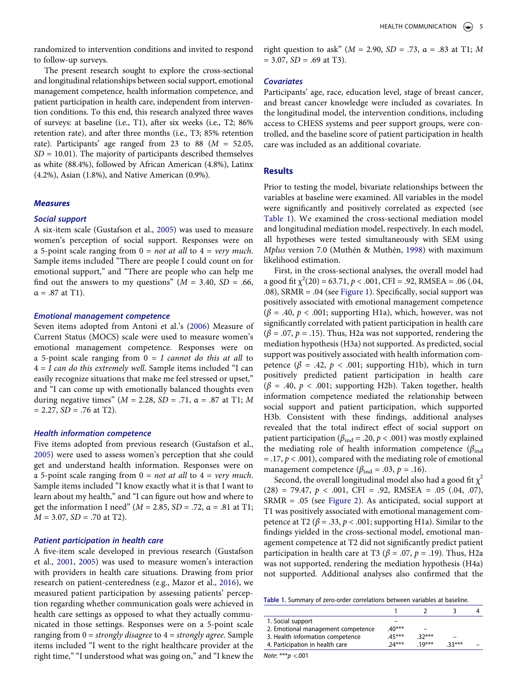randomized to intervention conditions and invited to respond to follow-up surveys.

The present research sought to explore the cross-sectional and longitudinal relationships between social support, emotional management competence, health information competence, and patient participation in health care, independent from intervention conditions. To this end, this research analyzed three waves of surveys: at baseline (i.e., T1), after six weeks (i.e., T2; 86% retention rate), and after three months (i.e., T3; 85% retention rate). Participants' age ranged from 23 to 88 (*M* = 52.05, *SD* = 10.01). The majority of participants described themselves as white (88.4%), followed by African American (4.8%), Latinx (4.2%), Asian (1.8%), and Native American (0.9%).

#### *Measures*

#### *Social support*

A six-item scale (Gustafson et al., [2005](#page-8-30)) was used to measure women's perception of social support. Responses were on a 5-point scale ranging from 0 = *not at all* to 4 = *very much*. Sample items included "There are people I could count on for emotional support," and "There are people who can help me find out the answers to my questions"  $(M = 3.40, SD = .66,$  $\alpha = .87$  at T1).

#### *Emotional management competence*

<span id="page-5-1"></span>Seven items adopted from Antoni et al.'s [\(2006](#page-8-31)) Measure of Current Status (MOCS) scale were used to measure women's emotional management competence. Responses were on a 5-point scale ranging from 0 = *I cannot do this at all* to 4 = *I can do this extremely well*. Sample items included "I can easily recognize situations that make me feel stressed or upset," and "I can come up with emotionally balanced thoughts even during negative times" (*M* = 2.28, *SD* = .71, α = .87 at T1; *M*   $= 2.27$ ,  $SD = .76$  at T2).

#### *Health information competence*

Five items adopted from previous research (Gustafson et al., [2005](#page-8-30)) were used to assess women's perception that she could get and understand health information. Responses were on a 5-point scale ranging from 0 = *not at all* to 4 = *very much*. Sample items included "I know exactly what it is that I want to learn about my health," and "I can figure out how and where to get the information I need" (*M* = 2.85, *SD* = .72, α = .81 at T1; *M* = 3.07, *SD* = .70 at T2).

#### *Patient participation in health care*

<span id="page-5-2"></span>A five-item scale developed in previous research (Gustafson et al., [2001,](#page-8-32) [2005\)](#page-8-30) was used to measure women's interaction with providers in health care situations. Drawing from prior research on patient-centeredness (e.g., Mazor et al., [2016](#page-9-3)), we measured patient participation by assessing patients' perception regarding whether communication goals were achieved in health care settings as opposed to what they actually communicated in those settings. Responses were on a 5-point scale ranging from 0 = *strongly disagree* to 4 = *strongly agree*. Sample items included "I went to the right healthcare provider at the right time," "I understood what was going on," and "I knew the right question to ask" ( $M = 2.90$ ,  $SD = .73$ ,  $\alpha = .83$  at T1; M  $= 3.07$ ,  $SD = .69$  at T3).

#### *Covariates*

Participants' age, race, education level, stage of breast cancer, and breast cancer knowledge were included as covariates. In the longitudinal model, the intervention conditions, including access to CHESS systems and peer support groups, were controlled, and the baseline score of patient participation in health care was included as an additional covariate.

#### **Results**

Prior to testing the model, bivariate relationships between the variables at baseline were examined. All variables in the model were significantly and positively correlated as expected (see [Table 1](#page-5-0)). We examined the cross-sectional mediation model and longitudinal mediation model, respectively. In each model, all hypotheses were tested simultaneously with SEM using *Mplus* version 7.0 (Muthén & Muthén, [1998](#page-9-27)) with maximum likelihood estimation.

<span id="page-5-3"></span>First, in the cross-sectional analyses, the overall model had a good fit  $\chi^2(20) = 63.71$ ,  $p < .001$ , CFI = .92, RMSEA = .06 (.04, .08), SRMR = .04 (see [Figure 1](#page-6-0)). Specifically, social support was positively associated with emotional management competence  $(\beta = .40, p < .001;$  supporting H1a), which, however, was not significantly correlated with patient participation in health care  $(\beta = .07, p = .15)$ . Thus, H2a was not supported, rendering the mediation hypothesis (H3a) not supported. As predicted, social support was positively associated with health information competence ( $\beta$  = .42,  $p < .001$ ; supporting H1b), which in turn positively predicted patient participation in health care  $(\beta = .40, p < .001;$  supporting H2b). Taken together, health information competence mediated the relationship between social support and patient participation, which supported H3b. Consistent with these findings, additional analyses revealed that the total indirect effect of social support on patient participation ( $\beta_{ind}$  = .20,  $p < .001$ ) was mostly explained the mediating role of health information competence (*β*ind  $=$  .17,  $p < .001$ ), compared with the mediating role of emotional management competence ( $\beta_{\text{ind}} = .03$ ,  $p = .16$ ).

Second, the overall longitudinal model also had a good fit  $\chi^2$  $(28) = 79.47, p < .001, CFI = .92, RMSEA = .05 (0.04, 0.07),$ SRMR = .05 (see [Figure 2\)](#page-6-1). As anticipated, social support at T1 was positively associated with emotional management competence at T2 ( $\beta$  = .33,  $p$  < .001; supporting H1a). Similar to the findings yielded in the cross-sectional model, emotional management competence at T2 did not significantly predict patient participation in health care at T3 ( $\beta$  = .07,  $p$  = .19). Thus, H2a was not supported, rendering the mediation hypothesis (H4a) not supported. Additional analyses also confirmed that the

<span id="page-5-0"></span>

| 1. Social support                  |         |         |         |  |
|------------------------------------|---------|---------|---------|--|
| 2. Emotional management competence | $40***$ |         |         |  |
| 3. Health information competence   | $45***$ | $32***$ |         |  |
| 4. Participation in health care    | $74***$ | $19***$ | $33***$ |  |
|                                    |         |         |         |  |

*Note*: \*\*\**p* <.001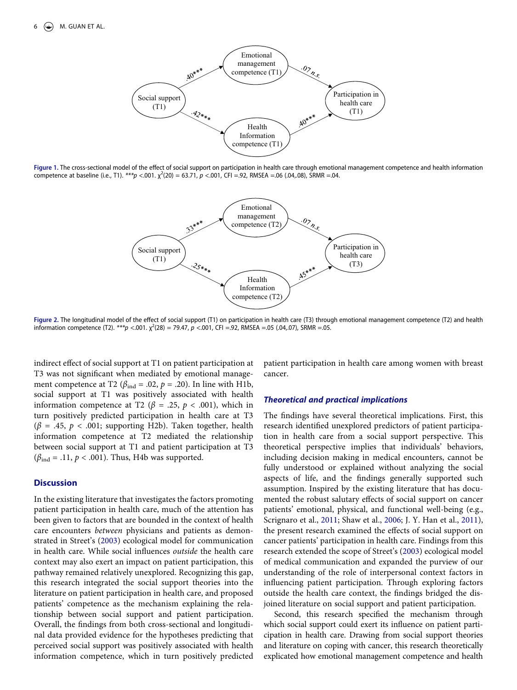<span id="page-6-0"></span>

<span id="page-6-1"></span>**Figure 1.** The cross-sectional model of the effect of social support on participation in health care through emotional management competence and health information competence at baseline (i.e., T1). *\*\*\*p* <.001. χ 2 (20) = 63.71, *p* <.001, CFI =.92, RMSEA =.06 (.04,.08), SRMR =.04.



**Figure 2.** The longitudinal model of the effect of social support (T1) on participation in health care (T3) through emotional management competence (T2) and health information competence (T2). *\*\*\*p* <.001. χ 2 (28) = 79.47, *p* <.001, CFI =.92, RMSEA =.05 (.04,.07), SRMR =.05.

indirect effect of social support at T1 on patient participation at T3 was not significant when mediated by emotional management competence at T2 ( $\beta_{ind}$  = .02,  $p$  = .20). In line with H1b, social support at T1 was positively associated with health information competence at T2 (*β* = .25, *p* < .001), which in turn positively predicted participation in health care at T3  $(\beta = .45, p < .001;$  supporting H2b). Taken together, health information competence at T2 mediated the relationship between social support at T1 and patient participation at T3  $(\beta_{\text{ind}} = .11, p < .001)$ . Thus, H4b was supported.

#### **Discussion**

In the existing literature that investigates the factors promoting patient participation in health care, much of the attention has been given to factors that are bounded in the context of health care encounters *between* physicians and patients as demonstrated in Street's ([2003\)](#page-9-10) ecological model for communication in health care. While social influences *outside* the health care context may also exert an impact on patient participation, this pathway remained relatively unexplored. Recognizing this gap, this research integrated the social support theories into the literature on patient participation in health care, and proposed patients' competence as the mechanism explaining the relationship between social support and patient participation. Overall, the findings from both cross-sectional and longitudinal data provided evidence for the hypotheses predicting that perceived social support was positively associated with health information competence, which in turn positively predicted patient participation in health care among women with breast cancer.

#### *Theoretical and practical implications*

The findings have several theoretical implications. First, this research identified unexplored predictors of patient participation in health care from a social support perspective. This theoretical perspective implies that individuals' behaviors, including decision making in medical encounters, cannot be fully understood or explained without analyzing the social aspects of life, and the findings generally supported such assumption. Inspired by the existing literature that has documented the robust salutary effects of social support on cancer patients' emotional, physical, and functional well-being (e.g., Scrignaro et al., [2011;](#page-9-28) Shaw et al., [2006;](#page-9-29) J. Y. Han et al., [2011](#page-8-6)), the present research examined the effects of social support on cancer patients' participation in health care. Findings from this research extended the scope of Street's ([2003\)](#page-9-10) ecological model of medical communication and expanded the purview of our understanding of the role of interpersonal context factors in influencing patient participation. Through exploring factors outside the health care context, the findings bridged the disjoined literature on social support and patient participation.

<span id="page-6-2"></span>Second, this research specified the mechanism through which social support could exert its influence on patient participation in health care. Drawing from social support theories and literature on coping with cancer, this research theoretically explicated how emotional management competence and health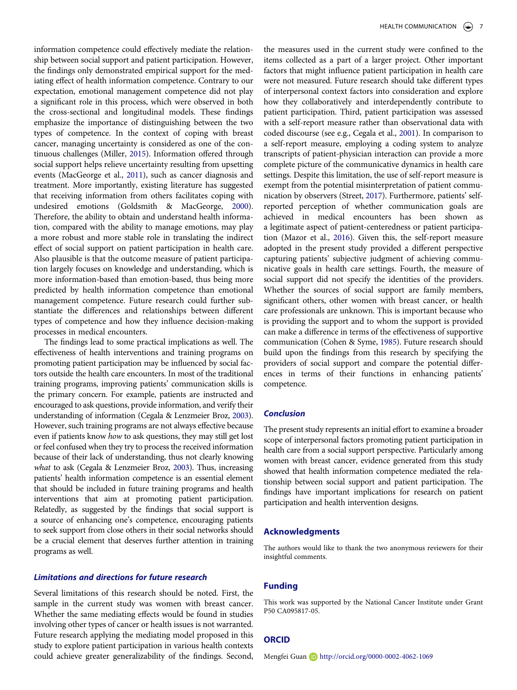<span id="page-7-2"></span>information competence could effectively mediate the relationship between social support and patient participation. However, the findings only demonstrated empirical support for the mediating effect of health information competence. Contrary to our expectation, emotional management competence did not play a significant role in this process, which were observed in both the cross-sectional and longitudinal models. These findings emphasize the importance of distinguishing between the two types of competence. In the context of coping with breast cancer, managing uncertainty is considered as one of the continuous challenges (Miller, [2015\)](#page-9-30). Information offered through social support helps relieve uncertainty resulting from upsetting events (MacGeorge et al., [2011](#page-9-14)), such as cancer diagnosis and treatment. More importantly, existing literature has suggested that receiving information from others facilitates coping with undesired emotions (Goldsmith & MacGeorge, [2000](#page-8-23)). Therefore, the ability to obtain and understand health information, compared with the ability to manage emotions, may play a more robust and more stable role in translating the indirect effect of social support on patient participation in health care. Also plausible is that the outcome measure of patient participation largely focuses on knowledge and understanding, which is more information-based than emotion-based, thus being more predicted by health information competence than emotional management competence. Future research could further substantiate the differences and relationships between different types of competence and how they influence decision-making processes in medical encounters.

The findings lead to some practical implications as well. The effectiveness of health interventions and training programs on promoting patient participation may be influenced by social factors outside the health care encounters. In most of the traditional training programs, improving patients' communication skills is the primary concern. For example, patients are instructed and encouraged to ask questions, provide information, and verify their understanding of information (Cegala & Lenzmeier Broz, [2003](#page-8-33)). However, such training programs are not always effective because even if patients know *how* to ask questions, they may still get lost or feel confused when they try to process the received information because of their lack of understanding, thus not clearly knowing *what* to ask (Cegala & Lenzmeier Broz, [2003](#page-8-33)). Thus, increasing patients' health information competence is an essential element that should be included in future training programs and health interventions that aim at promoting patient participation. Relatedly, as suggested by the findings that social support is a source of enhancing one's competence, encouraging patients to seek support from close others in their social networks should be a crucial element that deserves further attention in training programs as well.

#### <span id="page-7-0"></span>*Limitations and directions for future research*

Several limitations of this research should be noted. First, the sample in the current study was women with breast cancer. Whether the same mediating effects would be found in studies involving other types of cancer or health issues is not warranted. Future research applying the mediating model proposed in this study to explore patient participation in various health contexts could achieve greater generalizability of the findings. Second, <span id="page-7-1"></span>the measures used in the current study were confined to the items collected as a part of a larger project. Other important factors that might influence patient participation in health care were not measured. Future research should take different types of interpersonal context factors into consideration and explore how they collaboratively and interdependently contribute to patient participation. Third, patient participation was assessed with a self-report measure rather than observational data with coded discourse (see e.g., Cegala et al., [2001](#page-8-34)). In comparison to a self-report measure, employing a coding system to analyze transcripts of patient-physician interaction can provide a more complete picture of the communicative dynamics in health care settings. Despite this limitation, the use of self-report measure is exempt from the potential misinterpretation of patient communication by observers (Street, [2017](#page-9-2)). Furthermore, patients' selfreported perception of whether communication goals are achieved in medical encounters has been shown as a legitimate aspect of patient-centeredness or patient participation (Mazor et al., [2016\)](#page-9-3). Given this, the self-report measure adopted in the present study provided a different perspective capturing patients' subjective judgment of achieving communicative goals in health care settings. Fourth, the measure of social support did not specify the identities of the providers. Whether the sources of social support are family members, significant others, other women with breast cancer, or health care professionals are unknown. This is important because who is providing the support and to whom the support is provided can make a difference in terms of the effectiveness of supportive communication (Cohen & Syme, [1985\)](#page-8-11). Future research should build upon the findings from this research by specifying the providers of social support and compare the potential differences in terms of their functions in enhancing patients' competence.

#### *Conclusion*

The present study represents an initial effort to examine a broader scope of interpersonal factors promoting patient participation in health care from a social support perspective. Particularly among women with breast cancer, evidence generated from this study showed that health information competence mediated the relationship between social support and patient participation. The findings have important implications for research on patient participation and health intervention designs.

#### **Acknowledgments**

The authors would like to thank the two anonymous reviewers for their insightful comments.

#### **Funding**

This work was supported by the National Cancer Institute under Grant P50 CA095817-05.

#### **ORCID**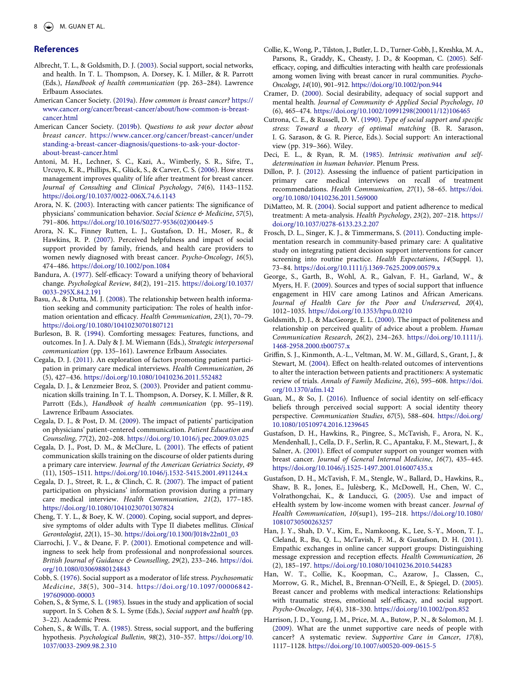#### **References**

- <span id="page-8-12"></span>Albrecht, T. L., & Goldsmith, D. J. ([2003\)](#page-2-0). Social support, social networks, and health. In T. L. Thompson, A. Dorsey, K. I. Miller, & R. Parrott (Eds.), *Handbook of health communication* (pp. 263–284). Lawrence Erlbaum Associates.
- <span id="page-8-0"></span>American Cancer Society. ([2019a\)](#page-1-2). *How common is breast cancer?* [https://](https://www.cancer.org/cancer/breast-cancer/about/how-common-is-breast-cancer.html) [www.cancer.org/cancer/breast-cancer/about/how-common-is-breast](https://www.cancer.org/cancer/breast-cancer/about/how-common-is-breast-cancer.html)[cancer.html](https://www.cancer.org/cancer/breast-cancer/about/how-common-is-breast-cancer.html)
- <span id="page-8-1"></span>American Cancer Society. [\(2019b\)](#page-1-3). *Questions to ask your doctor about breast cancer*. [https://www.cancer.org/cancer/breast-cancer/under](https://www.cancer.org/cancer/breast-cancer/understanding-a-breast-cancer-diagnosis/questions-to-ask-your-doctor-about-breast-cancer.html) [standing-a-breast-cancer-diagnosis/questions-to-ask-your-doctor](https://www.cancer.org/cancer/breast-cancer/understanding-a-breast-cancer-diagnosis/questions-to-ask-your-doctor-about-breast-cancer.html)[about-breast-cancer.html](https://www.cancer.org/cancer/breast-cancer/understanding-a-breast-cancer-diagnosis/questions-to-ask-your-doctor-about-breast-cancer.html)
- <span id="page-8-31"></span>Antoni, M. H., Lechner, S. C., Kazi, A., Wimberly, S. R., Sifre, T., Urcuyo, K. R., Phillips, K., Glück, S., & Carver, C. S. ([2006\)](#page-5-1). How stress management improves quality of life after treatment for breast cancer. *Journal of Consulting and Clinical Psychology*, *74*(6), 1143–1152. <https://doi.org/10.1037/0022-006X.74.6.1143>
- <span id="page-8-29"></span>Arora, N. K. ([2003\)](#page-4-0). Interacting with cancer patients: The significance of physicians' communication behavior. *Social Science & Medicine*, *57*(5), 791–806. [https://doi.org/10.1016/S0277-9536\(02\)00449-5](https://doi.org/10.1016/S0277-9536(02)00449-5)
- <span id="page-8-13"></span>Arora, N. K., Finney Rutten, L. J., Gustafson, D. H., Moser, R., & Hawkins, R. P. ([2007\)](#page-2-1). Perceived helpfulness and impact of social support provided by family, friends, and health care providers to women newly diagnosed with breast cancer. *Psycho-Oncology*, *16*(5), 474–486. <https://doi.org/10.1002/pon.1084>
- <span id="page-8-25"></span>Bandura, A. ([1977](#page-3-0)). Self-efficacy: Toward a unifying theory of behavioral change. *Psychological Review*, *84*(2), 191–215. [https://doi.org/10.1037/](https://doi.org/10.1037/0033-295X.84.2.191) [0033-295X.84.2.191](https://doi.org/10.1037/0033-295X.84.2.191)
- <span id="page-8-18"></span>Basu, A., & Dutta, M. J. ([2008](#page-3-1)). The relationship between health information seeking and community participation: The roles of health information orientation and efficacy. *Health Communication*, *23*(1), 70–79. <https://doi.org/10.1080/10410230701807121>
- <span id="page-8-20"></span>Burleson, B. R. ([1994](#page-3-2)). Comforting messages: Features, functions, and outcomes. In J. A. Daly & J. M. Wiemann (Eds.), *Strategic interpersonal communication* (pp. 135–161). Lawrence Erlbaum Associates.
- <span id="page-8-8"></span>Cegala, D. J. [\(2011](#page-2-2)). An exploration of factors promoting patient participation in primary care medical interviews. *Health Communication*, *26*  (5), 427–436.<https://doi.org/10.1080/10410236.2011.552482>
- <span id="page-8-33"></span>Cegala, D. J., & Lenzmeier Broz, S. [\(2003\)](#page-7-0). Provider and patient communication skills training. In T. L. Thompson, A. Dorsey, K. I. Miller, & R. Parrott (Eds.), *Handbook of health communication* (pp. 95–119). Lawrence Erlbaum Associates.
- <span id="page-8-24"></span>Cegala, D. J., & Post, D. M. [\(2009](#page-3-3)). The impact of patients' participation on physicians' patient-centered communication. *Patient Education and Counseling*, *77*(2), 202–208. <https://doi.org/10.1016/j.pec.2009.03.025>
- <span id="page-8-34"></span>Cegala, D. J., Post, D. M., & McClure, L. ([2001\)](#page-7-1). The effects of patient communication skills training on the discourse of older patients during a primary care interview. *Journal of the American Geriatrics Society*, *49*  (11), 1505–1511. <https://doi.org/10.1046/j.1532-5415.2001.4911244.x>
- <span id="page-8-2"></span>Cegala, D. J., Street, R. L., & Clinch, C. R. [\(2007\)](#page-1-4). The impact of patient participation on physicians' information provision during a primary care medical interview. *Health Communication*, *21*(2), 177–185. <https://doi.org/10.1080/10410230701307824>
- <span id="page-8-5"></span>Cheng, T. Y. L., & Boey, K. W. [\(2000](#page-1-5)). Coping, social support, and depressive symptoms of older adults with Type II diabetes mellitus. *Clinical Gerontologist*, *22*(1), 15–30. [https://doi.org/10.1300/J018v22n01\\_03](https://doi.org/10.1300/J018v22n01_03)
- <span id="page-8-17"></span>Ciarrochi, J. V., & Deane, F. P. ([2001\)](#page-3-4). Emotional competence and willingness to seek help from professional and nonprofessional sources. *British Journal of Guidance & Counselling*, *29*(2), 233–246. [https://doi.](https://doi.org/10.1080/03069880124843)  [org/10.1080/03069880124843](https://doi.org/10.1080/03069880124843)
- <span id="page-8-10"></span>Cobb, S. [\(1976\)](#page-2-3). Social support as a moderator of life stress. *Psychosomatic Medicine*, *38*(5), 300–314. [https://doi.org/10.1097/00006842-](https://doi.org/10.1097/00006842-197609000-00003)  [197609000-00003](https://doi.org/10.1097/00006842-197609000-00003)
- <span id="page-8-11"></span>Cohen, S., & Syme, S. L. ([1985\)](#page-2-4). Issues in the study and application of social support. In S. Cohen & S. L. Syme (Eds.), *Social support and health* (pp. 3–22). Academic Press.
- <span id="page-8-4"></span>Cohen, S., & Wills, T. A. ([1985\)](#page-1-6). Stress, social support, and the buffering hypothesis. *Psychological Bulletin*, *98*(2), 310–357. [https://doi.org/10.](https://doi.org/10.1037/0033-2909.98.2.310) [1037/0033-2909.98.2.310](https://doi.org/10.1037/0033-2909.98.2.310)
- <span id="page-8-27"></span>Collie, K., Wong, P., Tilston, J., Butler, L. D., Turner-Cobb, J., Kreshka, M. A., Parsons, R., Graddy, K., Cheasty, J. D., & Koopman, C. [\(2005\)](#page-4-1). Selfefficacy, coping, and difficulties interacting with health care professionals among women living with breast cancer in rural communities. *Psycho-Oncology*, *14*(10), 901–912. <https://doi.org/10.1002/pon.944>
- <span id="page-8-21"></span>Cramer, D. ([2000](#page-3-5)). Social desirability, adequacy of social support and mental health. *Journal of Community & Applied Social Psychology*, *10*  (6), 465–474. [https://doi.org/10.1002/10991298\(200011/12\)106465](https://doi.org/10.1002/10991298(200011/12)106465)
- <span id="page-8-19"></span>Cutrona, C. E., & Russell, D. W. ([1990](#page-3-6)). *Type of social support and specific stress: Toward a theory of optimal matching* (B. R. Sarason, I. G. Sarason, & G. R. Pierce, Eds.). Social support: An interactional view (pp. 319–366). Wiley.
- <span id="page-8-16"></span>Deci, E. L., & Ryan, R. M. ([1985](#page-3-7)). *Intrinsic motivation and selfdetermination in human behavior*. Plenum Press.
- <span id="page-8-7"></span>Dillon, P. J. ([2012](#page-2-5)). Assessing the influence of patient participation in primary care medical interviews on recall of treatment recommendations. *Health Communication*, *27*(1), 58–65. [https://doi.](https://doi.org/10.1080/10410236.2011.569000)  [org/10.1080/10410236.2011.569000](https://doi.org/10.1080/10410236.2011.569000)
- <span id="page-8-14"></span>DiMatteo, M. R. ([2004](#page-3-8)). Social support and patient adherence to medical treatment: A meta-analysis. *Health Psychology*, *23*(2), 207–218. [https://](https://doi.org/10.1037/0278-6133.23.2.207)  [doi.org/10.1037/0278-6133.23.2.207](https://doi.org/10.1037/0278-6133.23.2.207)
- <span id="page-8-28"></span>Frosch, D. L., Singer, K. J., & Timmermans, S. [\(2011\)](#page-4-2). Conducting implementation research in community-based primary care: A qualitative study on integrating patient decision support interventions for cancer screening into routine practice. *Health Expectations*, *14*(Suppl. 1), 73–84. <https://doi.org/10.1111/j.1369-7625.2009.00579.x>
- <span id="page-8-15"></span>George, S., Garth, B., Wohl, A. R., Galvan, F. H., Garland, W., & Myers, H. F. [\(2009](#page-3-9)). Sources and types of social support that influence engagement in HIV care among Latinos and African Americans. *Journal of Health Care for the Poor and Underserved*, *20*(4), 1012–1035. <https://doi.org/10.1353/hpu.0.0210>
- <span id="page-8-23"></span>Goldsmith, D. J., & MacGeorge, E. L. ([2000\)](#page-3-10). The impact of politeness and relationship on perceived quality of advice about a problem. *Human Communication Research*, *26*(2), 234–263. [https://doi.org/10.1111/j.](https://doi.org/10.1111/j.1468-2958.2000.tb00757.x) [1468-2958.2000.tb00757.x](https://doi.org/10.1111/j.1468-2958.2000.tb00757.x)
- <span id="page-8-3"></span>Griffin, S. J., Kinmonth, A.-L., Veltman, M. W. M., Gillard, S., Grant, J., & Stewart, M. ([2004](#page-1-7)). Effect on health-related outcomes of interventions to alter the interaction between patients and practitioners: A systematic review of trials. *Annals of Family Medicine*, *2*(6), 595–608. [https://doi.](https://doi.org/10.1370/afm.142)  [org/10.1370/afm.142](https://doi.org/10.1370/afm.142)
- <span id="page-8-22"></span>Guan, M., & So, J. [\(2016](#page-3-11)). Influence of social identity on self-efficacy beliefs through perceived social support: A social identity theory perspective. *Communication Studies*, *67*(5), 588–604. [https://doi.org/](https://doi.org/10.1080/10510974.2016.1239645)  [10.1080/10510974.2016.1239645](https://doi.org/10.1080/10510974.2016.1239645)
- <span id="page-8-32"></span>Gustafson, D. H., Hawkins, R., Pingree, S., McTavish, F., Arora, N. K., Mendenhall, J., Cella, D. F., Serlin, R. C., Apantaku, F. M., Stewart, J., & Salner, A. ([2001\)](#page-5-2). Effect of computer support on younger women with breast cancer. *Journal of General Internal Medicine*, *16*(7), 435–445. <https://doi.org/10.1046/j.1525-1497.2001.016007435.x>
- <span id="page-8-30"></span>Gustafson, D. H., McTavish, F. M., Stengle, W., Ballard, D., Hawkins, R., Shaw, B. R., Jones, E., Julèsberg, K., McDowell, H., Chen, W. C., Volrathongchai, K., & Landucci, G. ([2005](#page-4-3)). Use and impact of eHealth system by low-income women with breast cancer. *Journal of Health Communication*, *10*(sup1), 195–218. [https://doi.org/10.1080/](https://doi.org/10.1080/10810730500263257) [10810730500263257](https://doi.org/10.1080/10810730500263257)
- <span id="page-8-6"></span>Han, J. Y., Shah, D. V., Kim, E., Namkoong, K., Lee, S.-Y., Moon, T. J., Cleland, R., Bu, Q. L., McTavish, F. M., & Gustafson, D. H. ([2011](#page-1-5)). Empathic exchanges in online cancer support groups: Distinguishing message expression and reception effects. *Health Communication*, *26*  (2), 185–197. <https://doi.org/10.1080/10410236.2010.544283>
- <span id="page-8-26"></span>Han, W. T., Collie, K., Koopman, C., Azarow, J., Classen, C., Morrow, G. R., Michel, B., Brennan-O'Neill, E., & Spiegel, D. ([2005](#page-4-4)). Breast cancer and problems with medical interactions: Relationships with traumatic stress, emotional self-efficacy, and social support. *Psycho-Oncology*, *14*(4), 318–330. <https://doi.org/10.1002/pon.852>
- <span id="page-8-9"></span>Harrison, J. D., Young, J. M., Price, M. A., Butow, P. N., & Solomon, M. J. ([2009](#page-2-6)). What are the unmet supportive care needs of people with cancer? A systematic review. *Supportive Care in Cancer*, *17*(8), 1117–1128. <https://doi.org/10.1007/s00520-009-0615-5>